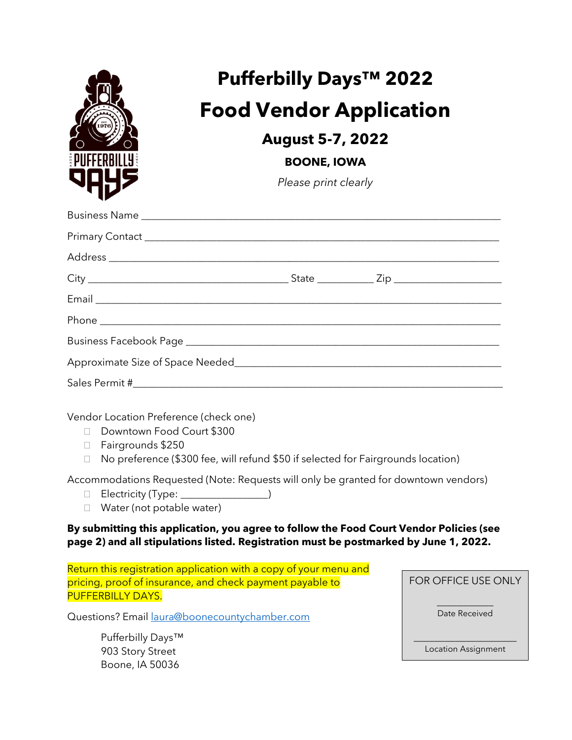

# **Pufferbilly Days™ 2022 Food Vendor Application August 5-7, 2022**

# **BOONE, IOWA**

*Please print clearly*

Vendor Location Preference (check one)

- Downtown Food Court \$300
- □ Fairgrounds \$250
- □ No preference (\$300 fee, will refund \$50 if selected for Fairgrounds location)

Accommodations Requested (Note: Requests will only be granted for downtown vendors)

- Electricity (Type: \_\_\_\_\_\_\_\_
- □ Water (not potable water)

#### **By submitting this application, you agree to follow the Food Court Vendor Policies (see page 2) and all stipulations listed. Registration must be postmarked by June 1, 2022.**

Return this registration application with a copy of your menu and pricing, proof of insurance, and check payment payable to PUFFERBILLY DAYS.

Questions? Email [laura@boonecountychamber.com](mailto:laura@boonecountychamber.com)

Pufferbilly Days™ 903 Story Street Boone, IA 50036

| FOR OFFICE USE ONLY        |  |  |
|----------------------------|--|--|
| Date Received              |  |  |
|                            |  |  |
| <b>Location Assignment</b> |  |  |